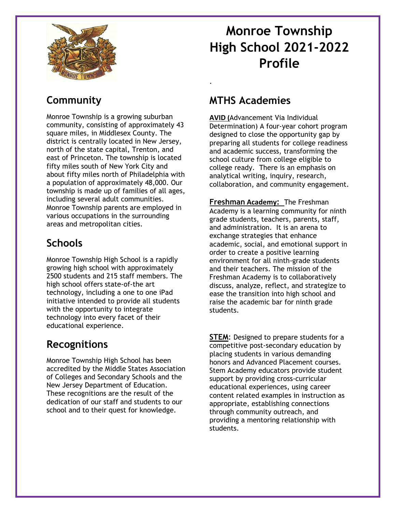

# **Monroe Township High School 2021-2022 Profile**

# **Community**

Monroe Township is a growing suburban community, consisting of approximately 43 square miles, in Middlesex County. The district is centrally located in New Jersey, north of the state capital, Trenton, and east of Princeton. The township is located fifty miles south of New York City and about fifty miles north of Philadelphia with a population of approximately 48,000. Our township is made up of families of all ages, including several adult communities. Monroe Township parents are employed in various occupations in the surrounding areas and metropolitan cities.

# **Schools**

Monroe Township High School is a rapidly growing high school with approximately 2500 students and 215 staff members. The high school offers state-of-the art technology, including a one to one iPad initiative intended to provide all students with the opportunity to integrate technology into every facet of their educational experience.

# **Recognitions**

Monroe Township High School has been accredited by the Middle States Association of Colleges and Secondary Schools and the New Jersey Department of Education. These recognitions are the result of the dedication of our staff and students to our school and to their quest for knowledge.

# **MTHS Academies**

.

**AVID (**Advancement Via Individual Determination) A four-year cohort program designed to close the opportunity gap by preparing all students for college readiness and academic success, transforming the school culture from college eligible to college ready. There is an emphasis on analytical writing, inquiry, research, collaboration, and community engagement.

**Freshman Academy:** The Freshman Academy is a learning community for ninth grade students, teachers, parents, staff, and administration. It is an arena to exchange strategies that enhance academic, social, and emotional support in order to create a positive learning environment for all ninth-grade students and their teachers. The mission of the Freshman Academy is to collaboratively discuss, analyze, reflect, and strategize to ease the transition into high school and raise the academic bar for ninth grade students.

**STEM**: Designed to prepare students for a competitive post-secondary education by placing students in various demanding honors and Advanced Placement courses. Stem Academy educators provide student support by providing cross-curricular educational experiences, using career content related examples in instruction as appropriate, establishing connections through community outreach, and providing a mentoring relationship with students.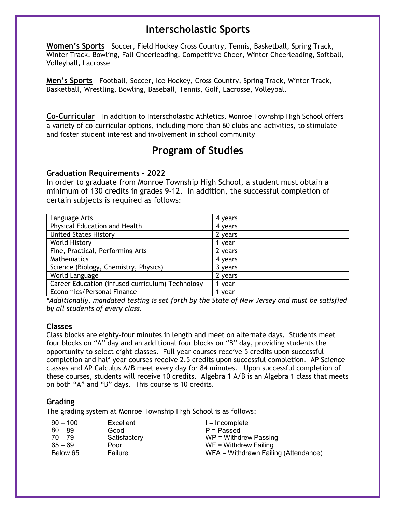# **Interscholastic Sports**

**Women's Sports** Soccer, Field Hockey Cross Country, Tennis, Basketball, Spring Track, Winter Track, Bowling, Fall Cheerleading, Competitive Cheer, Winter Cheerleading, Softball, Volleyball, Lacrosse

**Men's Sports** Football, Soccer, Ice Hockey, Cross Country, Spring Track, Winter Track, Basketball, Wrestling, Bowling, Baseball, Tennis, Golf, Lacrosse, Volleyball

**Co-Curricular** In addition to Interscholastic Athletics, Monroe Township High School offers a variety of co-curricular options, including more than 60 clubs and activities, to stimulate and foster student interest and involvement in school community

# **Program of Studies**

### **Graduation Requirements – 2022**

In order to graduate from Monroe Township High School, a student must obtain a minimum of 130 credits in grades 9-12. In addition, the successful completion of certain subjects is required as follows:

| Language Arts                                    | 4 years |
|--------------------------------------------------|---------|
| Physical Education and Health                    | 4 years |
| <b>United States History</b>                     | 2 years |
| <b>World History</b>                             | 1 year  |
| Fine, Practical, Performing Arts                 | 2 years |
| Mathematics                                      | 4 years |
| Science (Biology, Chemistry, Physics)            | 3 years |
| World Language                                   | 2 years |
| Career Education (infused curriculum) Technology | l vear  |
| Economics/Personal Finance                       | vear    |

*\*Additionally, mandated testing is set forth by the State of New Jersey and must be satisfied by all students of every class.* 

### **Classes**

Class blocks are eighty-four minutes in length and meet on alternate days. Students meet four blocks on "A" day and an additional four blocks on "B" day, providing students the opportunity to select eight classes. Full year courses receive 5 credits upon successful completion and half year courses receive 2.5 credits upon successful completion. AP Science classes and AP Calculus A/B meet every day for 84 minutes. Upon successful completion of these courses, students will receive 10 credits. Algebra 1 A/B is an Algebra 1 class that meets on both "A" and "B" days. This course is 10 credits.

### **Grading**

The grading system at Monroe Township High School is as follows:

| $90 - 100$ | Excellent    | $l = Incomplete$                     |
|------------|--------------|--------------------------------------|
| $80 - 89$  | Good         | $P =$ Passed                         |
| $70 - 79$  | Satisfactory | $WP = Without$                       |
| $65 - 69$  | Poor         | $WF = Without$ Failing               |
| Below 65   | Failure      | WFA = Withdrawn Failing (Attendance) |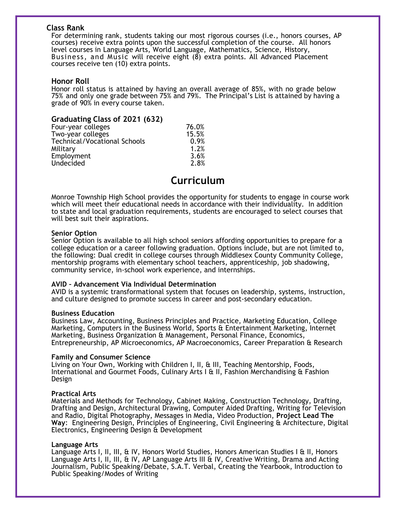### **Class Rank**

For determining rank, students taking our most rigorous courses (i.e., honors courses, AP courses) receive extra points upon the successful completion of the course. All honors level courses in Language Arts, World Language, Mathematics, Science, History, Business, and Music will receive eight (8) extra points. All Advanced Placement courses receive ten (10) extra points.

### **Honor Roll**

Honor roll status is attained by having an overall average of 85%, with no grade below 75% and only one grade between 75% and 79%. The Principal's List is attained by having a grade of 90% in every course taken.

| Graduating Class of 2021 (632)      |       |
|-------------------------------------|-------|
| Four-year colleges                  | 76.0% |
| Two-year colleges                   | 15.5% |
| <b>Technical/Vocational Schools</b> | 0.9%  |
| Military                            | 1.2%  |
| Employment                          | 3.6%  |
| Undecided                           | 2.8%  |

# **Curriculum**

Monroe Township High School provides the opportunity for students to engage in course work which will meet their educational needs in accordance with their individuality. In addition to state and local graduation requirements, students are encouraged to select courses that will best suit their aspirations.

#### **Senior Option**

Senior Option is available to all high school seniors affording opportunities to prepare for a college education or a career following graduation. Options include, but are not limited to, the following: Dual credit in college courses through Middlesex County Community College, mentorship programs with elementary school teachers, apprenticeship, job shadowing, community service, in-school work experience, and internships.

### **AVID – Advancement Via Individual Determination**

AVID is a systemic transformational system that focuses on leadership, systems, instruction, and culture designed to promote success in career and post-secondary education.

#### **Business Education**

Business Law, Accounting, Business Principles and Practice, Marketing Education, College Marketing, Computers in the Business World, Sports & Entertainment Marketing, Internet Marketing, Business Organization & Management, Personal Finance, Economics, Entrepreneurship, AP Microeconomics, AP Macroeconomics, Career Preparation & Research

### **Family and Consumer Science**

Living on Your Own, Working with Children I, II, & III, Teaching Mentorship, Foods, International and Gourmet Foods, Culinary Arts I & II, Fashion Merchandising & Fashion Design

### **Practical Arts**

Materials and Methods for Technology, Cabinet Making, Construction Technology, Drafting, Drafting and Design, Architectural Drawing, Computer Aided Drafting, Writing for Television and Radio, Digital Photography, Messages in Media, Video Production, **Project Lead The Way**: Engineering Design, Principles of Engineering, Civil Engineering & Architecture, Digital Electronics, Engineering Design & Development

### **Language Arts**

Language Arts I, II, III, & IV, Honors World Studies, Honors American Studies I & II, Honors Language Arts I, II, III, & IV, AP Language Arts III & IV, Creative Writing, Drama and Acting Journalism, Public Speaking/Debate, S.A.T. Verbal, Creating the Yearbook, Introduction to Public Speaking/Modes of Writing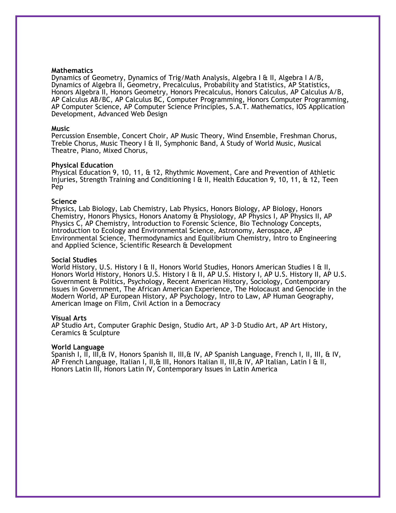#### **Mathematics**

Dynamics of Geometry, Dynamics of Trig/Math Analysis, Algebra I & II, Algebra I A/B, Dynamics of Algebra II, Geometry, Precalculus, Probability and Statistics, AP Statistics, Honors Algebra II, Honors Geometry, Honors Precalculus, Honors Calculus, AP Calculus A/B, AP Calculus AB/BC, AP Calculus BC, Computer Programming, Honors Computer Programming, AP Computer Science, AP Computer Science Principles, S.A.T. Mathematics, IOS Application Development, Advanced Web Design

#### **Music**

Percussion Ensemble, Concert Choir, AP Music Theory, Wind Ensemble, Freshman Chorus, Treble Chorus, Music Theory I & II, Symphonic Band, A Study of World Music, Musical Theatre, Piano, Mixed Chorus,

#### **Physical Education**

Physical Education 9, 10, 11, & 12, Rhythmic Movement, Care and Prevention of Athletic Injuries, Strength Training and Conditioning I  $\alpha$  II, Health Education 9, 10, 11,  $\alpha$  12, Teen Pep

#### **Science**

Physics, Lab Biology, Lab Chemistry, Lab Physics, Honors Biology, AP Biology, Honors Chemistry, Honors Physics, Honors Anatomy & Physiology, AP Physics I, AP Physics II, AP Physics C, AP Chemistry, Introduction to Forensic Science, Bio Technology Concepts, Introduction to Ecology and Environmental Science, Astronomy, Aerospace, AP Environmental Science, Thermodynamics and Equilibrium Chemistry, Intro to Engineering and Applied Science, Scientific Research & Development

#### **Social Studies**

World History, U.S. History I & II, Honors World Studies, Honors American Studies I & II, Honors World History, Honors U.S. History I & II, AP U.S. History I, AP U.S. History II, AP U.S. Government & Politics, Psychology, Recent American History, Sociology, Contemporary Issues in Government, The African American Experience, The Holocaust and Genocide in the Modern World, AP European History, AP Psychology, Intro to Law, AP Human Geography, American Image on Film, Civil Action in a Democracy

#### **Visual Arts**

AP Studio Art, Computer Graphic Design, Studio Art, AP 3-D Studio Art, AP Art History, Ceramics & Sculpture

#### **World Language**

Spanish I, II, III,& IV, Honors Spanish II, III,& IV, AP Spanish Language, French I, II, III, & IV, AP French Language, Italian I, II,& III, Honors Italian II, III,& IV, AP Italian, Latin I & II, Honors Latin III, Honors Latin IV, Contemporary Issues in Latin America